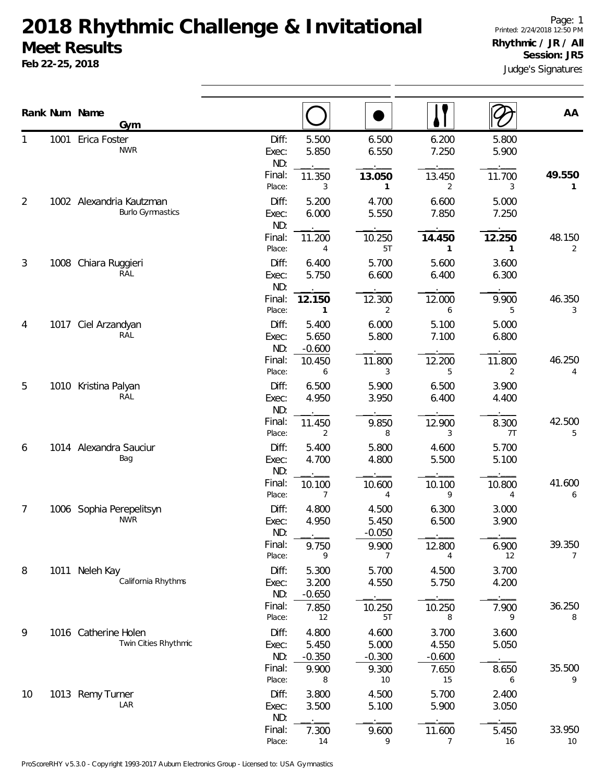## **2018 Rhythmic Challenge & Invitational Meet Results**

**Feb 22-25, 2018**

Judge's Signatures Page: 1 Printed: 2/24/2018 12:50 PM **Rhythmic / JR / All Session: JR5**

|        |      | Rank Num Name<br>Gym                                |                       |                            |                            |                            |                | AA                       |
|--------|------|-----------------------------------------------------|-----------------------|----------------------------|----------------------------|----------------------------|----------------|--------------------------|
|        | 1001 | Erica Foster<br><b>NWR</b>                          | Diff:<br>Exec:<br>ND: | 5.500<br>5.850             | 6.500<br>6.550             | 6.200<br>7.250             | 5.800<br>5.900 |                          |
|        |      |                                                     | Final:<br>Place:      | 11.350<br>3                | 13.050<br>1                | 13.450<br>2                | 11.700<br>3    | 49.550<br>1              |
| 2      |      | 1002 Alexandria Kautzman<br><b>Burlo Gymnastics</b> | Diff:<br>Exec:<br>ND: | 5.200<br>6.000             | 4.700<br>5.550             | 6.600<br>7.850             | 5.000<br>7.250 |                          |
|        |      |                                                     | Final:<br>Place:      | 11.200<br>4                | 10.250<br>5T               | 14.450<br>1                | 12.250<br>1    | 48.150<br>$\overline{2}$ |
| 3      | 1008 | Chiara Ruggieri<br>RAL                              | Diff:<br>Exec:<br>ND: | 6.400<br>5.750             | 5.700<br>6.600             | 5.600<br>6.400             | 3.600<br>6.300 |                          |
|        |      |                                                     | Final:<br>Place:      | 12.150<br>$\mathbf{1}$     | 12.300<br>2                | 12.000<br>6                | 9.900<br>5     | 46.350<br>3              |
| 4<br>5 | 1017 | Ciel Arzandyan<br>RAL                               | Diff:<br>Exec:<br>ND: | 5.400<br>5.650<br>$-0.600$ | 6.000<br>5.800             | 5.100<br>7.100             | 5.000<br>6.800 |                          |
|        |      |                                                     | Final:<br>Place:      | 10.450<br>6                | 11.800<br>3                | 12.200<br>5                | 11.800<br>2    | 46.250<br>4              |
|        |      | 1010 Kristina Palyan<br>RAL                         | Diff:<br>Exec:<br>ND: | 6.500<br>4.950             | 5.900<br>3.950             | 6.500<br>6.400             | 3.900<br>4.400 |                          |
|        |      |                                                     | Final:<br>Place:      | 11.450<br>$\overline{2}$   | 9.850<br>8                 | 12.900<br>3                | 8.300<br>7T    | 42.500<br>5              |
| 6      |      | 1014 Alexandra Sauciur<br>Bag                       | Diff:<br>Exec:<br>ND: | 5.400<br>4.700             | 5.800<br>4.800             | 4.600<br>5.500             | 5.700<br>5.100 |                          |
|        |      |                                                     | Final:<br>Place:      | 10.100<br>7                | 10.600<br>4                | 10.100<br>9                | 10.800<br>4    | 41.600<br>6              |
| 7      |      | 1006 Sophia Perepelitsyn<br><b>NWR</b>              | Diff:<br>Exec:<br>ND: | 4.800<br>4.950             | 4.500<br>5.450<br>$-0.050$ | 6.300<br>6.500             | 3.000<br>3.900 |                          |
|        |      |                                                     | Final:<br>Place:      | 9.750<br>9                 | 9.900<br>7                 | 12.800<br>4                | 6.900<br>12    | 39.350<br>7              |
| 8      |      | 1011 Neleh Kay<br>California Rhythms                | Diff:<br>Exec:<br>ND: | 5.300<br>3.200<br>$-0.650$ | 5.700<br>4.550             | 4.500<br>5.750             | 3.700<br>4.200 |                          |
|        |      |                                                     | Final:<br>Place:      | 7.850<br>12                | 10.250<br>5T               | 10.250<br>8                | 7.900<br>9     | 36.250<br>8              |
| 9      |      | 1016 Catherine Holen<br>Twin Cities Rhythmic        | Diff:<br>Exec:<br>ND: | 4.800<br>5.450<br>$-0.350$ | 4.600<br>5.000<br>$-0.300$ | 3.700<br>4.550<br>$-0.600$ | 3.600<br>5.050 |                          |
|        |      |                                                     | Final:<br>Place:      | 9.900<br>8                 | 9.300<br>10                | 7.650<br>15                | 8.650<br>6     | 35.500<br>9              |
| 10     |      | 1013 Remy Turner<br>LAR                             | Diff:<br>Exec:<br>ND: | 3.800<br>3.500             | 4.500<br>5.100             | 5.700<br>5.900             | 2.400<br>3.050 |                          |
|        |      |                                                     | Final:<br>Place:      | 7.300<br>14                | 9.600<br>9                 | 11.600<br>7                | 5.450<br>16    | 33.950<br>10             |